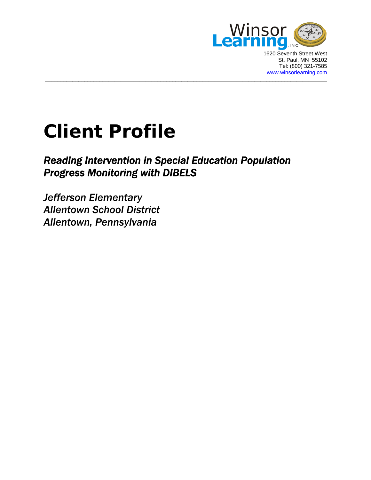

1620 Seventh Street West St. Paul, MN 55102 Tel: (800) 321-7585 [www.winsorlearning.com](http://www.winsorlearning.com/)

# **Client Profile**

# *Reading Intervention in Special Education Population Progress Monitoring with DIBELS*

 $\_$  ,  $\_$  ,  $\_$  ,  $\_$  ,  $\_$  ,  $\_$  ,  $\_$  ,  $\_$  ,  $\_$  ,  $\_$  ,  $\_$  ,  $\_$  ,  $\_$  ,  $\_$  ,  $\_$  ,  $\_$  ,  $\_$  ,  $\_$  ,  $\_$  ,  $\_$  ,  $\_$  ,  $\_$  ,  $\_$  ,  $\_$  ,  $\_$  ,  $\_$  ,  $\_$  ,  $\_$  ,  $\_$  ,  $\_$  ,  $\_$  ,  $\_$  ,  $\_$  ,  $\_$  ,  $\_$  ,  $\_$  ,  $\_$  ,

*Jefferson Elementary Allentown School District Allentown, Pennsylvania*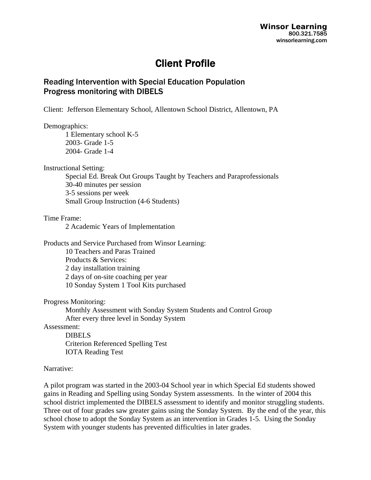## Client Profile

## Reading Intervention with Special Education Population Progress monitoring with DIBELS

Client: Jefferson Elementary School, Allentown School District, Allentown, PA

#### Demographics:

 1 Elementary school K-5 2003- Grade 1-5 2004- Grade 1-4

Instructional Setting:

 Special Ed. Break Out Groups Taught by Teachers and Paraprofessionals 30-40 minutes per session 3-5 sessions per week Small Group Instruction (4-6 Students)

Time Frame:

2 Academic Years of Implementation

Products and Service Purchased from Winsor Learning: 10 Teachers and Paras Trained Products & Services: 2 day installation training

 2 days of on-site coaching per year 10 Sonday System 1 Tool Kits purchased

Progress Monitoring:

 Monthly Assessment with Sonday System Students and Control Group After every three level in Sonday System

Assessment:

 DIBELS Criterion Referenced Spelling Test IOTA Reading Test

### Narrative:

A pilot program was started in the 2003-04 School year in which Special Ed students showed gains in Reading and Spelling using Sonday System assessments. In the winter of 2004 this school district implemented the DIBELS assessment to identify and monitor struggling students. Three out of four grades saw greater gains using the Sonday System. By the end of the year, this school chose to adopt the Sonday System as an intervention in Grades 1-5. Using the Sonday System with younger students has prevented difficulties in later grades.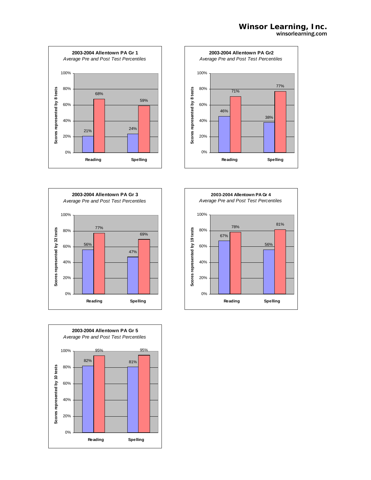







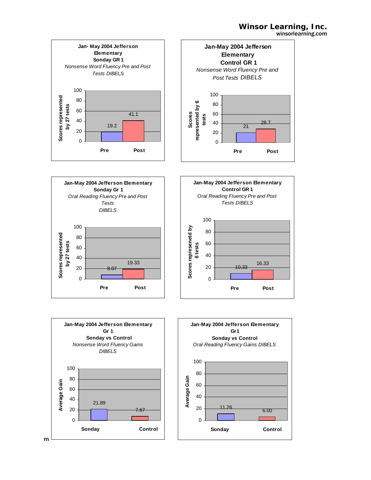









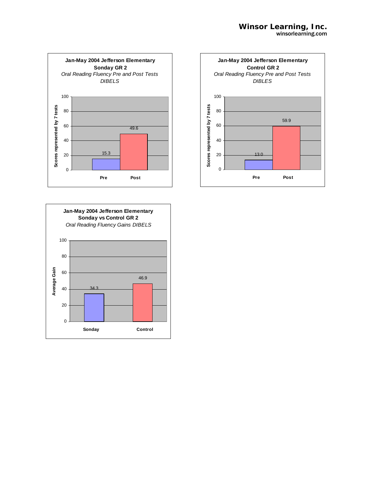



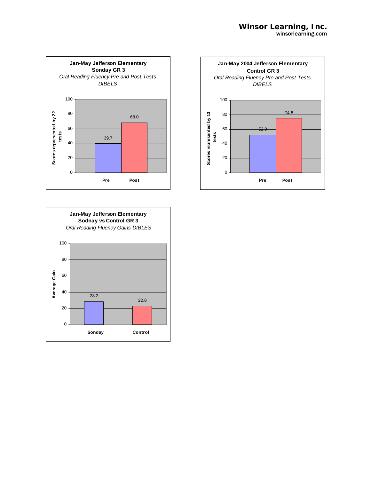